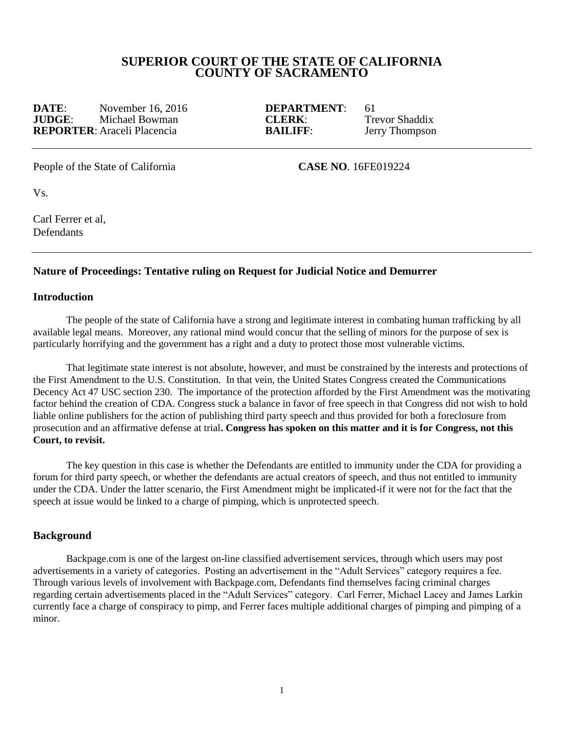# **SUPERIOR COURT OF THE STATE OF CALIFORNIA COUNTY OF SACRAMENTO**

**DATE:** November 16, 2016 **DEPARTMENT**: 61 **JUDGE**: Michael Bowman **CLERK**: Trevor Shaddix **REPORTER**: Araceli Placencia **BAILIFF**: Jerry Thompson

People of the State of California **CASE NO**. 16FE019224

Vs.

Carl Ferrer et al, **Defendants** 

### **Nature of Proceedings: Tentative ruling on Request for Judicial Notice and Demurrer**

#### **Introduction**

The people of the state of California have a strong and legitimate interest in combating human trafficking by all available legal means. Moreover, any rational mind would concur that the selling of minors for the purpose of sex is particularly horrifying and the government has a right and a duty to protect those most vulnerable victims.

That legitimate state interest is not absolute, however, and must be constrained by the interests and protections of the First Amendment to the U.S. Constitution. In that vein, the United States Congress created the Communications Decency Act 47 USC section 230. The importance of the protection afforded by the First Amendment was the motivating factor behind the creation of CDA. Congress stuck a balance in favor of free speech in that Congress did not wish to hold liable online publishers for the action of publishing third party speech and thus provided for both a foreclosure from prosecution and an affirmative defense at trial**. Congress has spoken on this matter and it is for Congress, not this Court, to revisit.**

The key question in this case is whether the Defendants are entitled to immunity under the CDA for providing a forum for third party speech, or whether the defendants are actual creators of speech, and thus not entitled to immunity under the CDA. Under the latter scenario, the First Amendment might be implicated-if it were not for the fact that the speech at issue would be linked to a charge of pimping, which is unprotected speech.

#### **Background**

Backpage.com is one of the largest on-line classified advertisement services, through which users may post advertisements in a variety of categories. Posting an advertisement in the "Adult Services" category requires a fee. Through various levels of involvement with Backpage.com, Defendants find themselves facing criminal charges regarding certain advertisements placed in the "Adult Services" category. Carl Ferrer, Michael Lacey and James Larkin currently face a charge of conspiracy to pimp, and Ferrer faces multiple additional charges of pimping and pimping of a minor.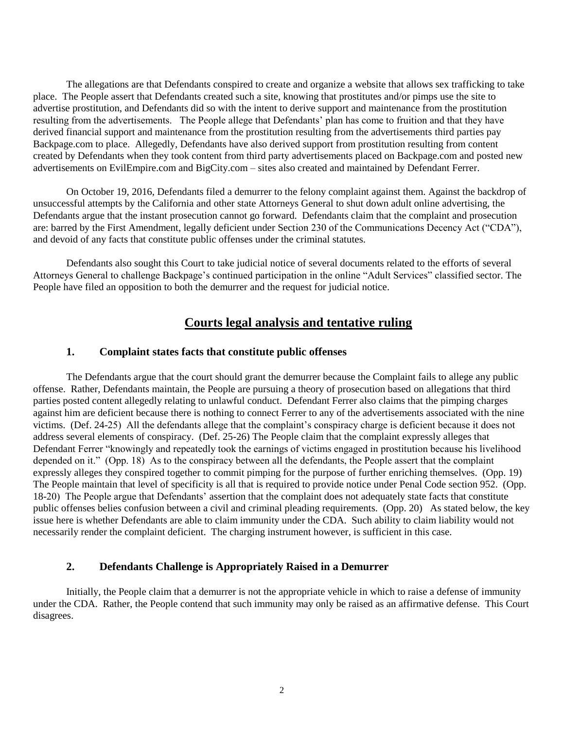The allegations are that Defendants conspired to create and organize a website that allows sex trafficking to take place. The People assert that Defendants created such a site, knowing that prostitutes and/or pimps use the site to advertise prostitution, and Defendants did so with the intent to derive support and maintenance from the prostitution resulting from the advertisements. The People allege that Defendants' plan has come to fruition and that they have derived financial support and maintenance from the prostitution resulting from the advertisements third parties pay Backpage.com to place. Allegedly, Defendants have also derived support from prostitution resulting from content created by Defendants when they took content from third party advertisements placed on Backpage.com and posted new advertisements on EvilEmpire.com and BigCity.com – sites also created and maintained by Defendant Ferrer.

On October 19, 2016, Defendants filed a demurrer to the felony complaint against them. Against the backdrop of unsuccessful attempts by the California and other state Attorneys General to shut down adult online advertising, the Defendants argue that the instant prosecution cannot go forward. Defendants claim that the complaint and prosecution are: barred by the First Amendment, legally deficient under Section 230 of the Communications Decency Act ("CDA"), and devoid of any facts that constitute public offenses under the criminal statutes.

Defendants also sought this Court to take judicial notice of several documents related to the efforts of several Attorneys General to challenge Backpage's continued participation in the online "Adult Services" classified sector. The People have filed an opposition to both the demurrer and the request for judicial notice.

# **Courts legal analysis and tentative ruling**

### **1. Complaint states facts that constitute public offenses**

The Defendants argue that the court should grant the demurrer because the Complaint fails to allege any public offense. Rather, Defendants maintain, the People are pursuing a theory of prosecution based on allegations that third parties posted content allegedly relating to unlawful conduct. Defendant Ferrer also claims that the pimping charges against him are deficient because there is nothing to connect Ferrer to any of the advertisements associated with the nine victims. (Def. 24-25) All the defendants allege that the complaint's conspiracy charge is deficient because it does not address several elements of conspiracy. (Def. 25-26) The People claim that the complaint expressly alleges that Defendant Ferrer "knowingly and repeatedly took the earnings of victims engaged in prostitution because his livelihood depended on it." (Opp. 18) As to the conspiracy between all the defendants, the People assert that the complaint expressly alleges they conspired together to commit pimping for the purpose of further enriching themselves. (Opp. 19) The People maintain that level of specificity is all that is required to provide notice under Penal Code section 952. (Opp. 18-20) The People argue that Defendants' assertion that the complaint does not adequately state facts that constitute public offenses belies confusion between a civil and criminal pleading requirements. (Opp. 20) As stated below, the key issue here is whether Defendants are able to claim immunity under the CDA. Such ability to claim liability would not necessarily render the complaint deficient. The charging instrument however, is sufficient in this case.

## **2. Defendants Challenge is Appropriately Raised in a Demurrer**

Initially, the People claim that a demurrer is not the appropriate vehicle in which to raise a defense of immunity under the CDA. Rather, the People contend that such immunity may only be raised as an affirmative defense. This Court disagrees.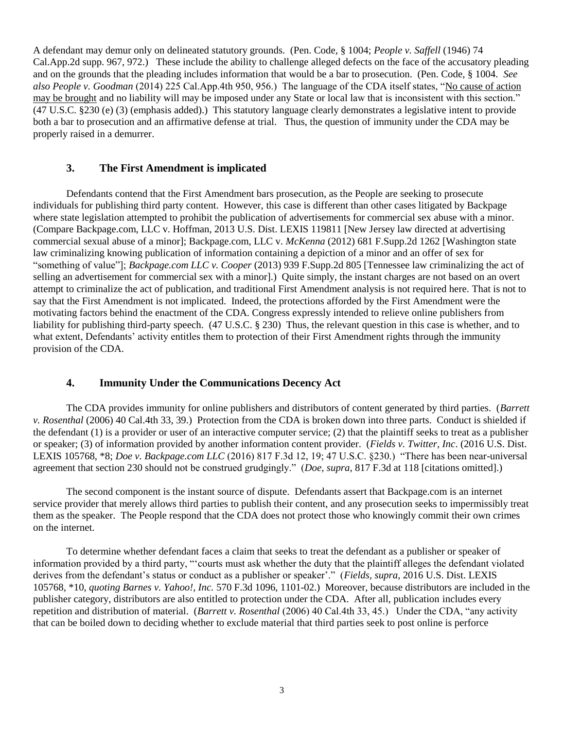A defendant may demur only on delineated statutory grounds. (Pen. Code, § 1004; *People v. Saffell* (1946) 74 Cal.App.2d supp. 967, 972.) These include the ability to challenge alleged defects on the face of the accusatory pleading and on the grounds that the pleading includes information that would be a bar to prosecution. (Pen. Code, § 1004. *See also People v. Goodman* (2014) 225 Cal.App.4th 950, 956.) The language of the CDA itself states, "No cause of action may be brought and no liability will may be imposed under any State or local law that is inconsistent with this section." (47 U.S.C. §230 (e) (3) (emphasis added).) This statutory language clearly demonstrates a legislative intent to provide both a bar to prosecution and an affirmative defense at trial. Thus, the question of immunity under the CDA may be properly raised in a demurrer.

### **3. The First Amendment is implicated**

Defendants contend that the First Amendment bars prosecution, as the People are seeking to prosecute individuals for publishing third party content. However, this case is different than other cases litigated by Backpage where state legislation attempted to prohibit the publication of advertisements for commercial sex abuse with a minor. (Compare Backpage.com, LLC v. Hoffman, 2013 U.S. Dist. LEXIS 119811 [New Jersey law directed at advertising commercial sexual abuse of a minor]; Backpage.com, LLC v. *McKenna* (2012) 681 F.Supp.2d 1262 [Washington state law criminalizing knowing publication of information containing a depiction of a minor and an offer of sex for "something of value"]; *Backpage.com LLC v. Cooper* (2013) 939 F.Supp.2d 805 [Tennessee law criminalizing the act of selling an advertisement for commercial sex with a minor].) Quite simply, the instant charges are not based on an overt attempt to criminalize the act of publication, and traditional First Amendment analysis is not required here. That is not to say that the First Amendment is not implicated. Indeed, the protections afforded by the First Amendment were the motivating factors behind the enactment of the CDA. Congress expressly intended to relieve online publishers from liability for publishing third-party speech. (47 U.S.C. § 230) Thus, the relevant question in this case is whether, and to what extent, Defendants' activity entitles them to protection of their First Amendment rights through the immunity provision of the CDA.

### **4. Immunity Under the Communications Decency Act**

The CDA provides immunity for online publishers and distributors of content generated by third parties. (*Barrett v. Rosenthal* (2006) 40 Cal.4th 33, 39.) Protection from the CDA is broken down into three parts. Conduct is shielded if the defendant (1) is a provider or user of an interactive computer service; (2) that the plaintiff seeks to treat as a publisher or speaker; (3) of information provided by another information content provider. (*Fields v. Twitter, Inc*. (2016 U.S. Dist. LEXIS 105768, \*8; *Doe v. Backpage.com LLC* (2016) 817 F.3d 12, 19; 47 U.S.C. §230.) "There has been near-universal agreement that section 230 should not be construed grudgingly." (*Doe, supra*, 817 F.3d at 118 [citations omitted].)

The second component is the instant source of dispute. Defendants assert that Backpage.com is an internet service provider that merely allows third parties to publish their content, and any prosecution seeks to impermissibly treat them as the speaker. The People respond that the CDA does not protect those who knowingly commit their own crimes on the internet.

To determine whether defendant faces a claim that seeks to treat the defendant as a publisher or speaker of information provided by a third party, "'courts must ask whether the duty that the plaintiff alleges the defendant violated derives from the defendant's status or conduct as a publisher or speaker'." (*Fields, supra*, 2016 U.S. Dist. LEXIS 105768, \*10, *quoting Barnes v. Yahoo!, Inc.* 570 F.3d 1096, 1101-02.) Moreover, because distributors are included in the publisher category, distributors are also entitled to protection under the CDA. After all, publication includes every repetition and distribution of material. (*Barrett v. Rosenthal* (2006) 40 Cal.4th 33, 45.) Under the CDA, "any activity that can be boiled down to deciding whether to exclude material that third parties seek to post online is perforce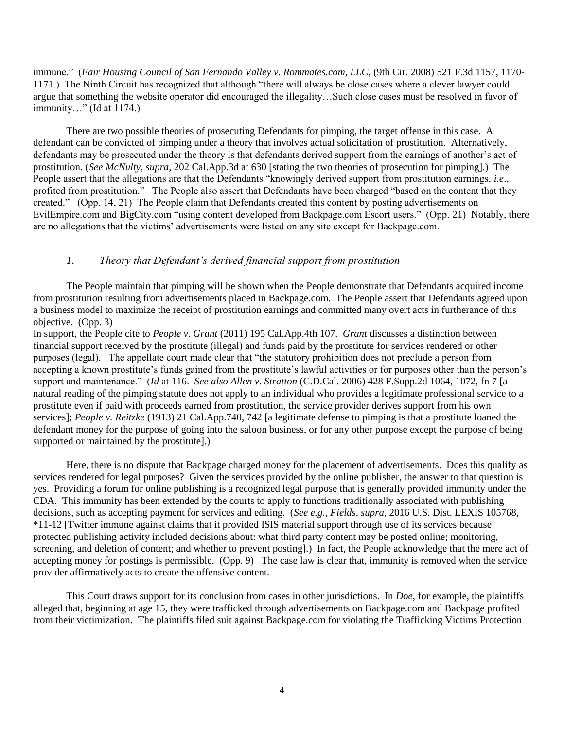immune." (*Fair Housing Council of San Fernando Valley v. Rommates.com, LLC,* (9th Cir. 2008) 521 F.3d 1157, 1170- 1171.) The Ninth Circuit has recognized that although "there will always be close cases where a clever lawyer could argue that something the website operator did encouraged the illegality…Such close cases must be resolved in favor of immunity…" (Id at 1174.)

There are two possible theories of prosecuting Defendants for pimping, the target offense in this case. A defendant can be convicted of pimping under a theory that involves actual solicitation of prostitution. Alternatively, defendants may be prosecuted under the theory is that defendants derived support from the earnings of another's act of prostitution. (*See McNulty, supra,* 202 Cal.App.3d at 630 [stating the two theories of prosecution for pimping].) The People assert that the allegations are that the Defendants "knowingly derived support from prostitution earnings, *i.e*., profited from prostitution." The People also assert that Defendants have been charged "based on the content that they created." (Opp. 14, 21) The People claim that Defendants created this content by posting advertisements on EvilEmpire.com and BigCity.com "using content developed from Backpage.com Escort users." (Opp. 21) Notably, there are no allegations that the victims' advertisements were listed on any site except for Backpage.com.

### *1. Theory that Defendant's derived financial support from prostitution*

The People maintain that pimping will be shown when the People demonstrate that Defendants acquired income from prostitution resulting from advertisements placed in Backpage.com. The People assert that Defendants agreed upon a business model to maximize the receipt of prostitution earnings and committed many overt acts in furtherance of this objective. (Opp. 3)

In support, the People cite to *People v. Grant* (2011) 195 Cal.App.4th 107. *Grant* discusses a distinction between financial support received by the prostitute (illegal) and funds paid by the prostitute for services rendered or other purposes (legal). The appellate court made clear that "the statutory prohibition does not preclude a person from accepting a known prostitute's funds gained from the prostitute's lawful activities or for purposes other than the person's support and maintenance." (*Id* at 116. *See also Allen v. Stratton* (C.D.Cal. 2006) 428 F.Supp.2d 1064, 1072, fn 7 [a natural reading of the pimping statute does not apply to an individual who provides a legitimate professional service to a prostitute even if paid with proceeds earned from prostitution, the service provider derives support from his own services]; *People v. Reitzke* (1913) 21 Cal.App.740, 742 [a legitimate defense to pimping is that a prostitute loaned the defendant money for the purpose of going into the saloon business, or for any other purpose except the purpose of being supported or maintained by the prostitute].)

Here, there is no dispute that Backpage charged money for the placement of advertisements. Does this qualify as services rendered for legal purposes? Given the services provided by the online publisher, the answer to that question is yes. Providing a forum for online publishing is a recognized legal purpose that is generally provided immunity under the CDA. This immunity has been extended by the courts to apply to functions traditionally associated with publishing decisions, such as accepting payment for services and editing. (*See e.g., Fields, supra*, 2016 U.S. Dist. LEXIS 105768, \*11-12 [Twitter immune against claims that it provided ISIS material support through use of its services because protected publishing activity included decisions about: what third party content may be posted online; monitoring, screening, and deletion of content; and whether to prevent posting].) In fact, the People acknowledge that the mere act of accepting money for postings is permissible. (Opp. 9) The case law is clear that, immunity is removed when the service provider affirmatively acts to create the offensive content.

This Court draws support for its conclusion from cases in other jurisdictions. In *Doe*, for example, the plaintiffs alleged that, beginning at age 15, they were trafficked through advertisements on Backpage.com and Backpage profited from their victimization. The plaintiffs filed suit against Backpage.com for violating the Trafficking Victims Protection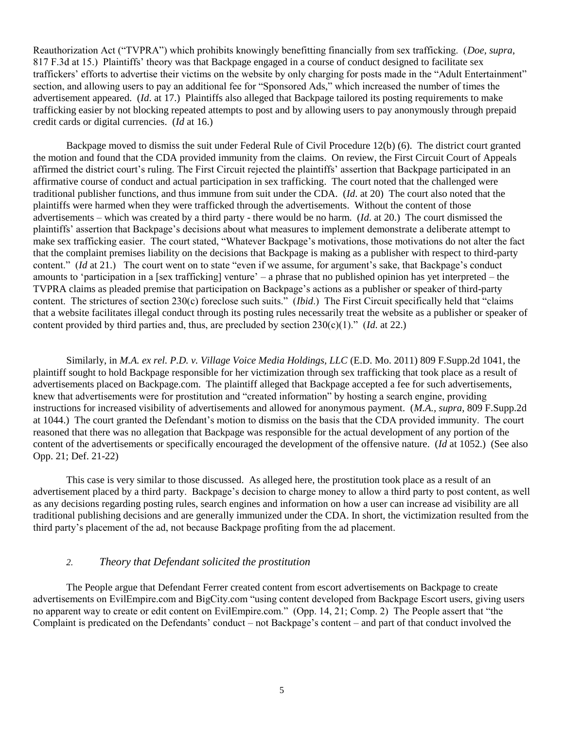Reauthorization Act ("TVPRA") which prohibits knowingly benefitting financially from sex trafficking. (*Doe, supra*, 817 F.3d at 15.) Plaintiffs' theory was that Backpage engaged in a course of conduct designed to facilitate sex traffickers' efforts to advertise their victims on the website by only charging for posts made in the "Adult Entertainment" section, and allowing users to pay an additional fee for "Sponsored Ads," which increased the number of times the advertisement appeared. (*Id*. at 17.) Plaintiffs also alleged that Backpage tailored its posting requirements to make trafficking easier by not blocking repeated attempts to post and by allowing users to pay anonymously through prepaid credit cards or digital currencies. (*Id* at 16.)

Backpage moved to dismiss the suit under Federal Rule of Civil Procedure 12(b) (6). The district court granted the motion and found that the CDA provided immunity from the claims. On review, the First Circuit Court of Appeals affirmed the district court's ruling. The First Circuit rejected the plaintiffs' assertion that Backpage participated in an affirmative course of conduct and actual participation in sex trafficking. The court noted that the challenged were traditional publisher functions, and thus immune from suit under the CDA. (*Id*. at 20) The court also noted that the plaintiffs were harmed when they were trafficked through the advertisements. Without the content of those advertisements – which was created by a third party - there would be no harm. (*Id*. at 20.) The court dismissed the plaintiffs' assertion that Backpage's decisions about what measures to implement demonstrate a deliberate attempt to make sex trafficking easier. The court stated, "Whatever Backpage's motivations, those motivations do not alter the fact that the complaint premises liability on the decisions that Backpage is making as a publisher with respect to third-party content." *(Id at 21.)* The court went on to state "even if we assume, for argument's sake, that Backpage's conduct amounts to 'participation in a [sex trafficking] venture' – a phrase that no published opinion has yet interpreted – the TVPRA claims as pleaded premise that participation on Backpage's actions as a publisher or speaker of third-party content. The strictures of section 230(c) foreclose such suits." (*Ibid*.) The First Circuit specifically held that "claims that a website facilitates illegal conduct through its posting rules necessarily treat the website as a publisher or speaker of content provided by third parties and, thus, are precluded by section 230(c)(1)." (*Id*. at 22.)

Similarly, in *M.A. ex rel. P.D. v. Village Voice Media Holdings, LLC* (E.D. Mo. 2011) 809 F.Supp.2d 1041, the plaintiff sought to hold Backpage responsible for her victimization through sex trafficking that took place as a result of advertisements placed on Backpage.com. The plaintiff alleged that Backpage accepted a fee for such advertisements, knew that advertisements were for prostitution and "created information" by hosting a search engine, providing instructions for increased visibility of advertisements and allowed for anonymous payment. (*M.A., supra*, 809 F.Supp.2d at 1044.) The court granted the Defendant's motion to dismiss on the basis that the CDA provided immunity. The court reasoned that there was no allegation that Backpage was responsible for the actual development of any portion of the content of the advertisements or specifically encouraged the development of the offensive nature. (*Id* at 1052.) (See also Opp. 21; Def. 21-22)

This case is very similar to those discussed. As alleged here, the prostitution took place as a result of an advertisement placed by a third party. Backpage's decision to charge money to allow a third party to post content, as well as any decisions regarding posting rules, search engines and information on how a user can increase ad visibility are all traditional publishing decisions and are generally immunized under the CDA. In short, the victimization resulted from the third party's placement of the ad, not because Backpage profiting from the ad placement.

### *2. Theory that Defendant solicited the prostitution*

The People argue that Defendant Ferrer created content from escort advertisements on Backpage to create advertisements on EvilEmpire.com and BigCity.com "using content developed from Backpage Escort users, giving users no apparent way to create or edit content on EvilEmpire.com." (Opp. 14, 21; Comp. 2) The People assert that "the Complaint is predicated on the Defendants' conduct – not Backpage's content – and part of that conduct involved the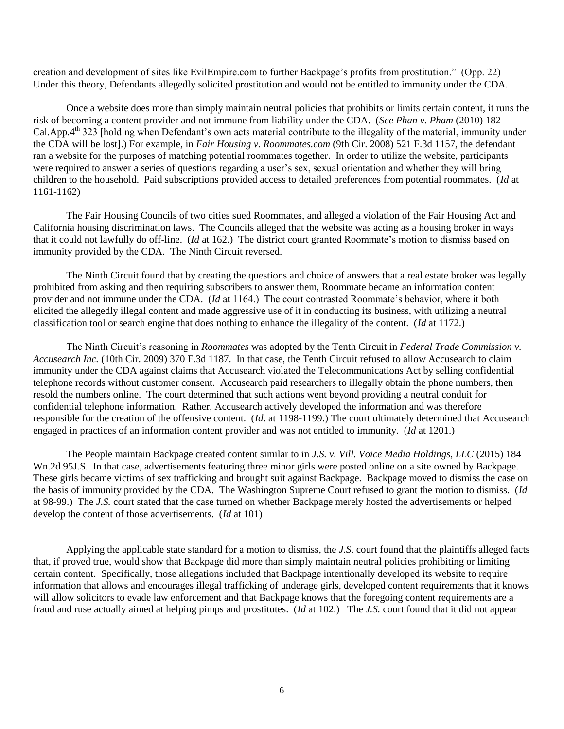creation and development of sites like EvilEmpire.com to further Backpage's profits from prostitution." (Opp. 22) Under this theory, Defendants allegedly solicited prostitution and would not be entitled to immunity under the CDA.

Once a website does more than simply maintain neutral policies that prohibits or limits certain content, it runs the risk of becoming a content provider and not immune from liability under the CDA. (*See Phan v. Pham* (2010) 182 Cal.App.4<sup>th</sup> 323 [holding when Defendant's own acts material contribute to the illegality of the material, immunity under the CDA will be lost].) For example, in *Fair Housing v. Roommates.com* (9th Cir. 2008) 521 F.3d 1157, the defendant ran a website for the purposes of matching potential roommates together. In order to utilize the website, participants were required to answer a series of questions regarding a user's sex, sexual orientation and whether they will bring children to the household. Paid subscriptions provided access to detailed preferences from potential roommates. (*Id* at 1161-1162)

The Fair Housing Councils of two cities sued Roommates, and alleged a violation of the Fair Housing Act and California housing discrimination laws. The Councils alleged that the website was acting as a housing broker in ways that it could not lawfully do off-line. (*Id* at 162.) The district court granted Roommate's motion to dismiss based on immunity provided by the CDA. The Ninth Circuit reversed.

The Ninth Circuit found that by creating the questions and choice of answers that a real estate broker was legally prohibited from asking and then requiring subscribers to answer them, Roommate became an information content provider and not immune under the CDA. (*Id* at 1164.) The court contrasted Roommate's behavior, where it both elicited the allegedly illegal content and made aggressive use of it in conducting its business, with utilizing a neutral classification tool or search engine that does nothing to enhance the illegality of the content. (*Id* at 1172.)

The Ninth Circuit's reasoning in *Roommates* was adopted by the Tenth Circuit in *Federal Trade Commission v. Accusearch Inc.* (10th Cir. 2009) 370 F.3d 1187. In that case, the Tenth Circuit refused to allow Accusearch to claim immunity under the CDA against claims that Accusearch violated the Telecommunications Act by selling confidential telephone records without customer consent. Accusearch paid researchers to illegally obtain the phone numbers, then resold the numbers online. The court determined that such actions went beyond providing a neutral conduit for confidential telephone information. Rather, Accusearch actively developed the information and was therefore responsible for the creation of the offensive content. (*Id*. at 1198-1199.) The court ultimately determined that Accusearch engaged in practices of an information content provider and was not entitled to immunity. (*Id* at 1201.)

The People maintain Backpage created content similar to in *J.S. v. Vill. Voice Media Holdings, LLC* (2015) 184 Wn.2d 95J.S. In that case, advertisements featuring three minor girls were posted online on a site owned by Backpage. These girls became victims of sex trafficking and brought suit against Backpage. Backpage moved to dismiss the case on the basis of immunity provided by the CDA. The Washington Supreme Court refused to grant the motion to dismiss. (*Id*  at 98-99.) The *J.S.* court stated that the case turned on whether Backpage merely hosted the advertisements or helped develop the content of those advertisements. (*Id* at 101)

Applying the applicable state standard for a motion to dismiss, the *J.S*. court found that the plaintiffs alleged facts that, if proved true, would show that Backpage did more than simply maintain neutral policies prohibiting or limiting certain content. Specifically, those allegations included that Backpage intentionally developed its website to require information that allows and encourages illegal trafficking of underage girls, developed content requirements that it knows will allow solicitors to evade law enforcement and that Backpage knows that the foregoing content requirements are a fraud and ruse actually aimed at helping pimps and prostitutes. (*Id* at 102.) The *J.S.* court found that it did not appear